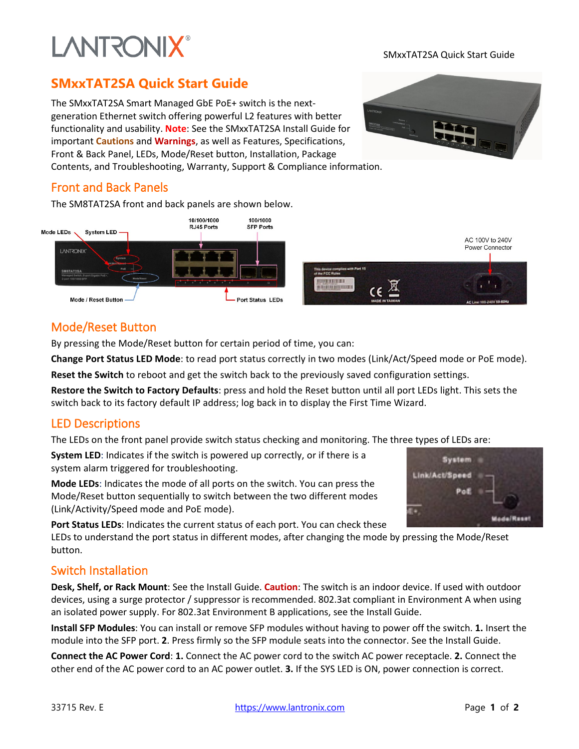# **LANTRONIX®**

#### SMxxTAT2SA Quick Start Guide

### **SMxxTAT2SA Quick Start Guide**

The SMxxTAT2SA Smart Managed GbE PoE+ switch is the nextgeneration Ethernet switch offering powerful L2 features with better functionality and usability. **Note**: See the SMxxTAT2SA Install Guide for important **Cautions** and **Warnings**, as well as Features, Specifications, Front & Back Panel, LEDs, Mode/Reset button, Installation, Package Contents, and Troubleshooting, Warranty, Support & Compliance information.



#### Front and Back Panels

The SM8TAT2SA front and back panels are shown below.



#### Mode/Reset Button

By pressing the Mode/Reset button for certain period of time, you can:

**Change Port Status LED Mode**: to read port status correctly in two modes (Link/Act/Speed mode or PoE mode).

**Reset the Switch** to reboot and get the switch back to the previously saved configuration settings.

**Restore the Switch to Factory Defaults**: press and hold the Reset button until all port LEDs light. This sets the switch back to its factory default IP address; log back in to display the First Time Wizard.

#### LED Descriptions

The LEDs on the front panel provide switch status checking and monitoring. The three types of LEDs are:

**System LED**: Indicates if the switch is powered up correctly, or if there is a system alarm triggered for troubleshooting.

**Mode LEDs**: Indicates the mode of all ports on the switch. You can press the Mode/Reset button sequentially to switch between the two different modes (Link/Activity/Speed mode and PoE mode).

**Port Status LEDs**: Indicates the current status of each port. You can check these

LEDs to understand the port status in different modes, after changing the mode by pressing the Mode/Reset button.

#### Switch Installation

**Desk, Shelf, or Rack Mount**: See the Install Guide. **Caution**: The switch is an indoor device. If used with outdoor devices, using a surge protector / suppressor is recommended. 802.3at compliant in Environment A when using an isolated power supply. For 802.3at Environment B applications, see the Install Guide.

**Install SFP Modules**: You can install or remove SFP modules without having to power off the switch. **1.** Insert the module into the SFP port. **2**. Press firmly so the SFP module seats into the connector. See the Install Guide.

**Connect the AC Power Cord**: **1.** Connect the AC power cord to the switch AC power receptacle. **2.** Connect the other end of the AC power cord to an AC power outlet. **3.** If the SYS LED is ON, power connection is correct.